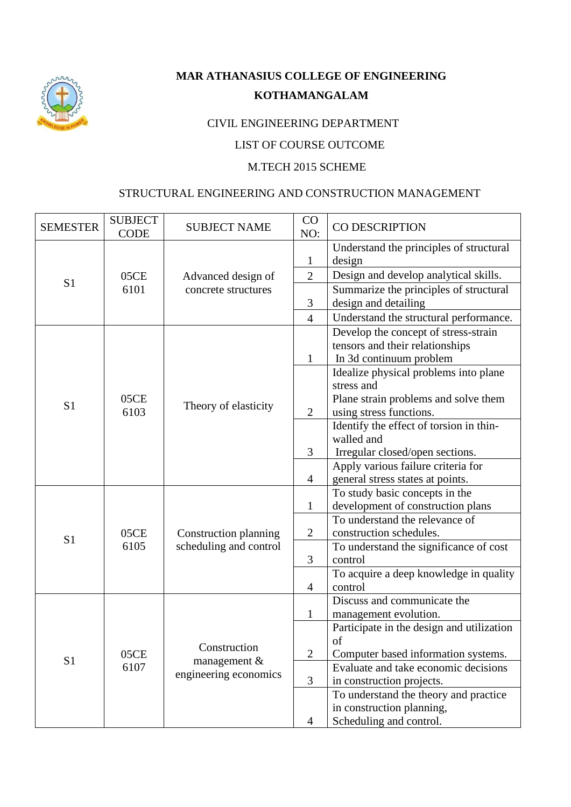

# **MAR ATHANASIUS COLLEGE OF ENGINEERING KOTHAMANGALAM**

## CIVIL ENGINEERING DEPARTMENT

## LIST OF COURSE OUTCOME

#### M.TECH 2015 SCHEME

#### STRUCTURAL ENGINEERING AND CONSTRUCTION MANAGEMENT

| <b>SEMESTER</b> | <b>SUBJECT</b><br><b>CODE</b> | <b>SUBJECT NAME</b>    | CO<br>NO:      | CO DESCRIPTION                                                      |
|-----------------|-------------------------------|------------------------|----------------|---------------------------------------------------------------------|
|                 |                               |                        | $\mathbf{1}$   | Understand the principles of structural<br>design                   |
|                 | 05CE                          | Advanced design of     | $\mathfrak{2}$ | Design and develop analytical skills.                               |
| S <sub>1</sub>  | 6101                          | concrete structures    |                | Summarize the principles of structural                              |
|                 |                               |                        | $\mathfrak{Z}$ | design and detailing                                                |
|                 |                               |                        | $\overline{4}$ | Understand the structural performance.                              |
|                 |                               |                        |                | Develop the concept of stress-strain                                |
|                 |                               |                        |                | tensors and their relationships                                     |
|                 |                               |                        | $\mathbf{1}$   | In 3d continuum problem                                             |
|                 |                               |                        |                | Idealize physical problems into plane                               |
|                 |                               |                        |                | stress and                                                          |
| S <sub>1</sub>  | 05CE                          | Theory of elasticity   |                | Plane strain problems and solve them                                |
|                 | 6103                          |                        | $\mathfrak{2}$ | using stress functions.                                             |
|                 |                               |                        |                | Identify the effect of torsion in thin-                             |
|                 |                               |                        |                | walled and                                                          |
|                 |                               |                        | 3              | Irregular closed/open sections.                                     |
|                 |                               |                        | $\overline{4}$ | Apply various failure criteria for                                  |
|                 |                               |                        |                | general stress states at points.                                    |
|                 |                               |                        | $\mathbf{1}$   | To study basic concepts in the<br>development of construction plans |
|                 |                               |                        |                | To understand the relevance of                                      |
|                 | 05CE<br>6105                  | Construction planning  | $\mathbf{2}$   | construction schedules.                                             |
| S <sub>1</sub>  |                               | scheduling and control |                | To understand the significance of cost                              |
|                 |                               |                        | 3              | control                                                             |
|                 |                               |                        |                | To acquire a deep knowledge in quality                              |
|                 |                               |                        | 4              | control                                                             |
|                 |                               |                        |                | Discuss and communicate the                                         |
|                 |                               |                        | $\mathbf{1}$   | management evolution.                                               |
|                 |                               |                        |                | Participate in the design and utilization                           |
|                 |                               |                        |                | of                                                                  |
| S1              | 05CE                          | Construction           | $\mathbf{2}$   | Computer based information systems.                                 |
|                 | 6107                          | management &           |                | Evaluate and take economic decisions                                |
|                 |                               | engineering economics  | 3              | in construction projects.                                           |
|                 |                               |                        |                | To understand the theory and practice                               |
|                 |                               |                        |                | in construction planning,                                           |
|                 |                               |                        | $\overline{4}$ | Scheduling and control.                                             |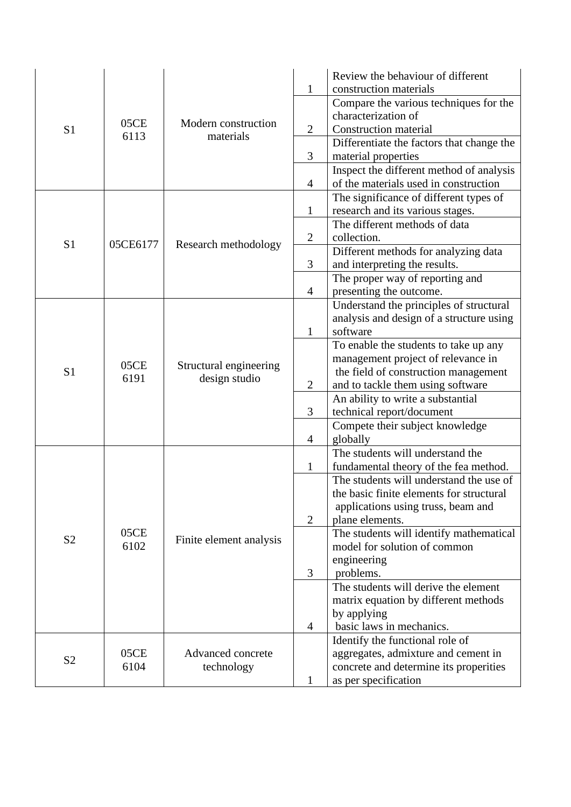|                |              |                                         |                | Review the behaviour of different                                                 |
|----------------|--------------|-----------------------------------------|----------------|-----------------------------------------------------------------------------------|
|                |              |                                         | $\mathbf{1}$   | construction materials                                                            |
|                |              |                                         |                | Compare the various techniques for the<br>characterization of                     |
| S <sub>1</sub> | 05CE         | Modern construction                     | $\overline{2}$ | <b>Construction material</b>                                                      |
|                | 6113         | materials                               |                |                                                                                   |
|                |              |                                         | 3              | Differentiate the factors that change the                                         |
|                |              |                                         |                | material properties                                                               |
|                |              |                                         | $\overline{4}$ | Inspect the different method of analysis<br>of the materials used in construction |
|                |              |                                         |                | The significance of different types of                                            |
|                |              |                                         | $\mathbf{1}$   | research and its various stages.                                                  |
|                |              |                                         |                | The different methods of data                                                     |
|                |              |                                         | $\mathbf{2}$   | collection.                                                                       |
| S <sub>1</sub> | 05CE6177     | Research methodology                    |                | Different methods for analyzing data                                              |
|                |              |                                         | 3              | and interpreting the results.                                                     |
|                |              |                                         |                | The proper way of reporting and                                                   |
|                |              |                                         | $\overline{4}$ | presenting the outcome.                                                           |
|                |              |                                         |                | Understand the principles of structural                                           |
|                | 05CE<br>6191 | Structural engineering<br>design studio |                | analysis and design of a structure using                                          |
|                |              |                                         | $\mathbf{1}$   | software                                                                          |
|                |              |                                         |                | To enable the students to take up any                                             |
|                |              |                                         |                | management project of relevance in                                                |
| S <sub>1</sub> |              |                                         |                | the field of construction management                                              |
|                |              |                                         | $\mathbf{2}$   | and to tackle them using software                                                 |
|                |              |                                         |                | An ability to write a substantial                                                 |
|                |              |                                         | 3              | technical report/document                                                         |
|                |              |                                         | $\overline{4}$ | Compete their subject knowledge                                                   |
|                |              |                                         |                | globally                                                                          |
|                |              |                                         |                | The students will understand the                                                  |
|                |              |                                         | $\mathbf{1}$   | fundamental theory of the fea method.                                             |
|                |              |                                         |                | The students will understand the use of                                           |
|                |              |                                         |                | the basic finite elements for structural                                          |
|                |              |                                         |                | applications using truss, beam and                                                |
|                |              |                                         | $\overline{2}$ | plane elements.                                                                   |
| S <sub>2</sub> | 05CE<br>6102 | Finite element analysis                 |                | The students will identify mathematical<br>model for solution of common           |
|                |              |                                         |                | engineering                                                                       |
|                |              |                                         | $\mathfrak{Z}$ | problems.                                                                         |
|                |              |                                         |                | The students will derive the element                                              |
|                |              |                                         |                | matrix equation by different methods                                              |
|                |              |                                         |                | by applying                                                                       |
|                |              |                                         | $\overline{4}$ | basic laws in mechanics.                                                          |
|                |              |                                         |                | Identify the functional role of                                                   |
| S <sub>2</sub> | 05CE<br>6104 | Advanced concrete<br>technology         |                | aggregates, admixture and cement in                                               |
|                |              |                                         |                | concrete and determine its properities                                            |
|                |              |                                         | $\mathbf{1}$   | as per specification                                                              |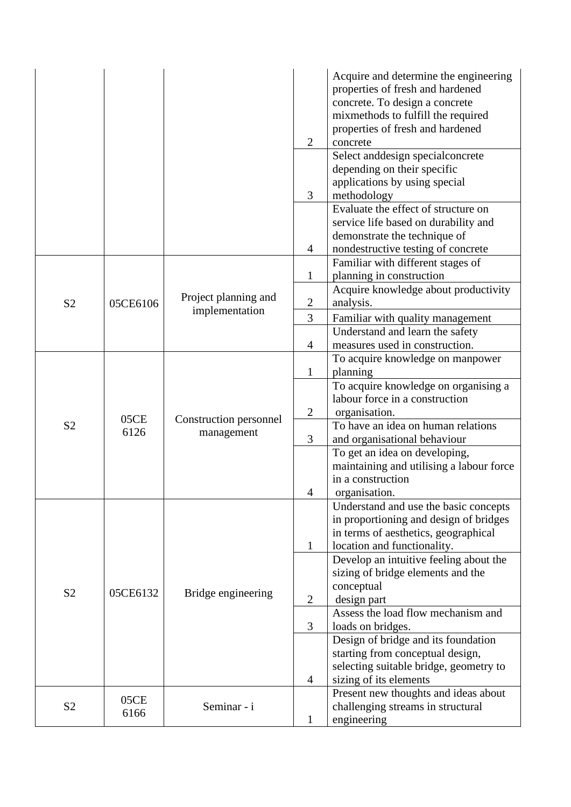|                |              |                        | $\mathfrak{2}$ | Acquire and determine the engineering<br>properties of fresh and hardened<br>concrete. To design a concrete<br>mixmethods to fulfill the required<br>properties of fresh and hardened<br>concrete |
|----------------|--------------|------------------------|----------------|---------------------------------------------------------------------------------------------------------------------------------------------------------------------------------------------------|
|                |              |                        | 3              | Select and<br>design special concrete<br>depending on their specific<br>applications by using special<br>methodology                                                                              |
|                |              |                        | 4              | Evaluate the effect of structure on<br>service life based on durability and<br>demonstrate the technique of<br>nondestructive testing of concrete                                                 |
|                |              |                        | $\mathbf{1}$   | Familiar with different stages of<br>planning in construction                                                                                                                                     |
| S <sub>2</sub> | 05CE6106     | Project planning and   | $\mathfrak{2}$ | Acquire knowledge about productivity<br>analysis.                                                                                                                                                 |
|                |              | implementation         | 3              | Familiar with quality management                                                                                                                                                                  |
|                |              |                        |                | Understand and learn the safety                                                                                                                                                                   |
|                |              |                        | 4              | measures used in construction.<br>To acquire knowledge on manpower                                                                                                                                |
|                | 05CE<br>6126 |                        | $\mathbf{1}$   | planning                                                                                                                                                                                          |
|                |              |                        |                | To acquire knowledge on organising a<br>labour force in a construction                                                                                                                            |
|                |              | Construction personnel | $\overline{c}$ | organisation.                                                                                                                                                                                     |
| S <sub>2</sub> |              | management             | 3              | To have an idea on human relations<br>and organisational behaviour                                                                                                                                |
|                |              |                        |                | To get an idea on developing,<br>maintaining and utilising a labour force                                                                                                                         |
|                |              |                        | 4              | in a construction<br>organisation.                                                                                                                                                                |
|                |              |                        |                | Understand and use the basic concepts<br>in proportioning and design of bridges                                                                                                                   |
|                |              |                        |                | in terms of aesthetics, geographical                                                                                                                                                              |
|                |              |                        | $\mathbf{1}$   | location and functionality.                                                                                                                                                                       |
|                |              |                        |                | Develop an intuitive feeling about the<br>sizing of bridge elements and the                                                                                                                       |
|                |              |                        |                | conceptual                                                                                                                                                                                        |
| S <sub>2</sub> | 05CE6132     | Bridge engineering     | $\overline{2}$ | design part                                                                                                                                                                                       |
|                |              |                        |                | Assess the load flow mechanism and                                                                                                                                                                |
|                |              |                        | 3              | loads on bridges.                                                                                                                                                                                 |
|                |              |                        |                | Design of bridge and its foundation<br>starting from conceptual design,                                                                                                                           |
|                |              |                        |                | selecting suitable bridge, geometry to                                                                                                                                                            |
|                |              |                        | 4              | sizing of its elements                                                                                                                                                                            |
|                | 05CE         |                        |                | Present new thoughts and ideas about                                                                                                                                                              |
| S <sub>2</sub> | 6166         | Seminar - i            | $\mathbf{1}$   | challenging streams in structural<br>engineering                                                                                                                                                  |
|                |              |                        |                |                                                                                                                                                                                                   |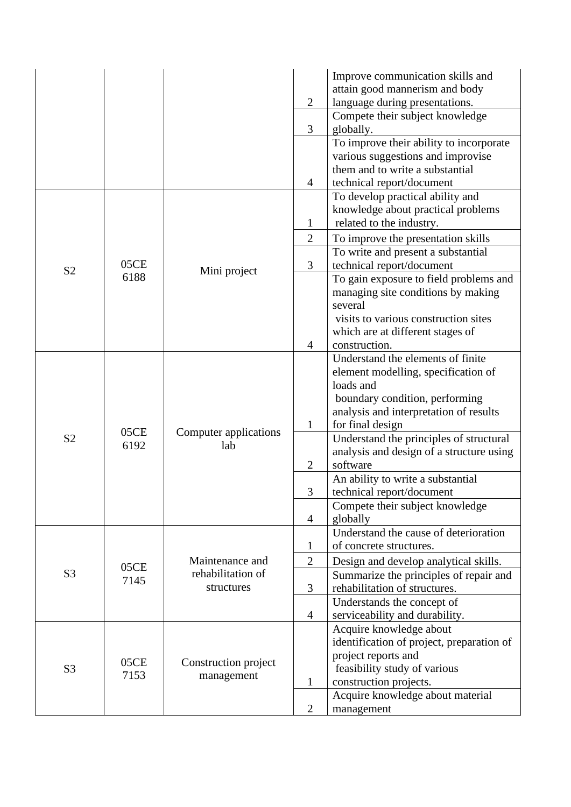|                |              |                       |                | Improve communication skills and          |
|----------------|--------------|-----------------------|----------------|-------------------------------------------|
|                |              |                       |                | attain good mannerism and body            |
|                |              |                       | 2              | language during presentations.            |
|                |              |                       |                | Compete their subject knowledge           |
|                |              |                       | 3              | globally.                                 |
|                |              |                       |                | To improve their ability to incorporate   |
|                |              |                       |                | various suggestions and improvise         |
|                |              |                       |                | them and to write a substantial           |
|                |              |                       | $\overline{4}$ | technical report/document                 |
|                |              |                       |                | To develop practical ability and          |
|                |              |                       |                | knowledge about practical problems        |
|                |              |                       | $\mathbf{1}$   | related to the industry.                  |
|                |              |                       | $\overline{2}$ | To improve the presentation skills        |
|                |              |                       |                | To write and present a substantial        |
|                | 05CE         |                       | 3              | technical report/document                 |
| S <sub>2</sub> | 6188         | Mini project          |                | To gain exposure to field problems and    |
|                |              |                       |                | managing site conditions by making        |
|                |              |                       |                | several                                   |
|                |              |                       |                | visits to various construction sites      |
|                |              |                       |                | which are at different stages of          |
|                |              |                       | $\overline{4}$ | construction.                             |
|                |              |                       |                | Understand the elements of finite         |
|                | 05CE<br>6192 |                       |                | element modelling, specification of       |
|                |              |                       |                | loads and                                 |
|                |              |                       |                | boundary condition, performing            |
|                |              |                       |                | analysis and interpretation of results    |
|                |              |                       | 1              | for final design                          |
| S <sub>2</sub> |              | Computer applications |                | Understand the principles of structural   |
|                |              | lab                   |                | analysis and design of a structure using  |
|                |              |                       | $\overline{2}$ | software                                  |
|                |              |                       |                | An ability to write a substantial         |
|                |              |                       | 3              | technical report/document                 |
|                |              |                       |                | Compete their subject knowledge           |
|                |              |                       | $\overline{4}$ | globally                                  |
|                |              |                       |                | Understand the cause of deterioration     |
|                |              |                       | $\mathbf{1}$   | of concrete structures.                   |
|                |              | Maintenance and       | $\overline{2}$ | Design and develop analytical skills.     |
| S <sub>3</sub> | 05CE         | rehabilitation of     |                | Summarize the principles of repair and    |
|                | 7145         | structures            | 3              | rehabilitation of structures.             |
|                |              |                       |                | Understands the concept of                |
|                |              |                       | $\overline{4}$ | serviceability and durability.            |
|                |              |                       |                | Acquire knowledge about                   |
|                |              |                       |                | identification of project, preparation of |
|                |              |                       |                | project reports and                       |
| S <sub>3</sub> | 05CE         | Construction project  |                | feasibility study of various              |
|                | 7153         | management            | $\mathbf{1}$   | construction projects.                    |
|                |              |                       |                | Acquire knowledge about material          |
|                |              |                       | $\overline{2}$ | management                                |
|                |              |                       |                |                                           |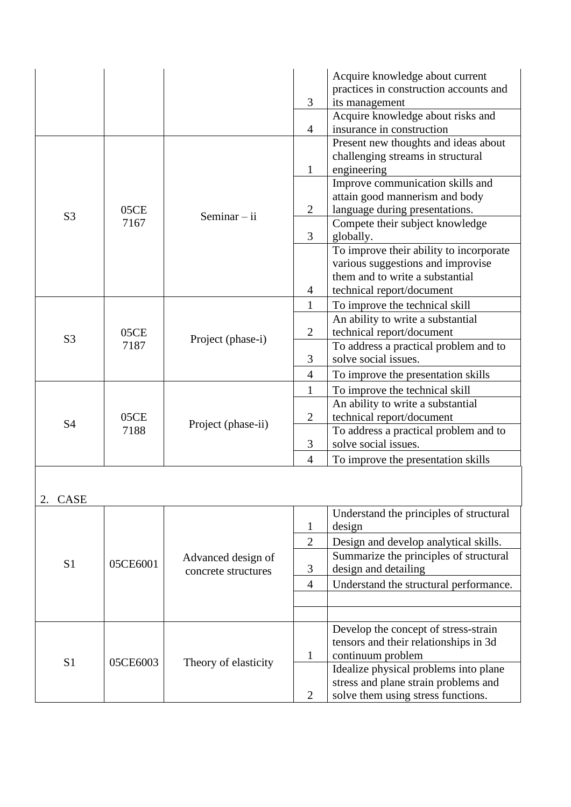|                |              |                      |                | Acquire knowledge about current                               |
|----------------|--------------|----------------------|----------------|---------------------------------------------------------------|
|                |              |                      |                | practices in construction accounts and                        |
|                |              |                      | 3              | its management                                                |
|                |              |                      |                | Acquire knowledge about risks and                             |
|                |              |                      | $\overline{4}$ | insurance in construction                                     |
|                |              |                      |                | Present new thoughts and ideas about                          |
|                |              |                      |                | challenging streams in structural                             |
|                |              |                      | $\mathbf{1}$   | engineering                                                   |
|                |              |                      |                | Improve communication skills and                              |
|                |              |                      |                | attain good mannerism and body                                |
|                | 05CE         |                      | $\overline{2}$ | language during presentations.                                |
| S <sub>3</sub> | 7167         | Seminar $-$ ii       |                | Compete their subject knowledge                               |
|                |              |                      | 3              | globally.                                                     |
|                |              |                      |                | To improve their ability to incorporate                       |
|                |              |                      |                | various suggestions and improvise                             |
|                |              |                      |                | them and to write a substantial                               |
|                |              |                      | $\overline{4}$ | technical report/document                                     |
|                |              |                      | $\mathbf{1}$   | To improve the technical skill                                |
|                |              |                      |                | An ability to write a substantial                             |
|                | 05CE         | Project (phase-i)    | $\overline{2}$ | technical report/document                                     |
| S <sub>3</sub> | 7187         |                      |                | To address a practical problem and to                         |
|                |              |                      | 3              | solve social issues.                                          |
|                |              |                      | $\overline{4}$ | To improve the presentation skills                            |
|                |              |                      | $\mathbf{1}$   |                                                               |
|                |              |                      |                | To improve the technical skill                                |
|                | 05CE<br>7188 | Project (phase-ii)   |                | An ability to write a substantial                             |
| S4             |              |                      | $\overline{2}$ | technical report/document                                     |
|                |              |                      | 3              | To address a practical problem and to<br>solve social issues. |
|                |              |                      |                |                                                               |
|                |              |                      | $\overline{4}$ | To improve the presentation skills                            |
|                |              |                      |                |                                                               |
|                |              |                      |                |                                                               |
| <b>CASE</b>    |              |                      |                | Understand the principles of structural                       |
|                |              |                      | $\mathbf{1}$   | design                                                        |
|                |              |                      |                |                                                               |
|                |              |                      | $\overline{2}$ | Design and develop analytical skills.                         |
| S <sub>1</sub> | 05CE6001     | Advanced design of   |                | Summarize the principles of structural                        |
|                |              | concrete structures  | 3              | design and detailing                                          |
|                |              |                      | $\overline{4}$ | Understand the structural performance.                        |
|                |              |                      |                |                                                               |
|                |              |                      |                |                                                               |
|                |              |                      |                | Develop the concept of stress-strain                          |
|                |              |                      |                | tensors and their relationships in 3d                         |
|                |              | Theory of elasticity | 1              | continuum problem                                             |
| S <sub>1</sub> | 05CE6003     |                      |                | Idealize physical problems into plane                         |
|                |              |                      |                | stress and plane strain problems and                          |
|                |              |                      |                |                                                               |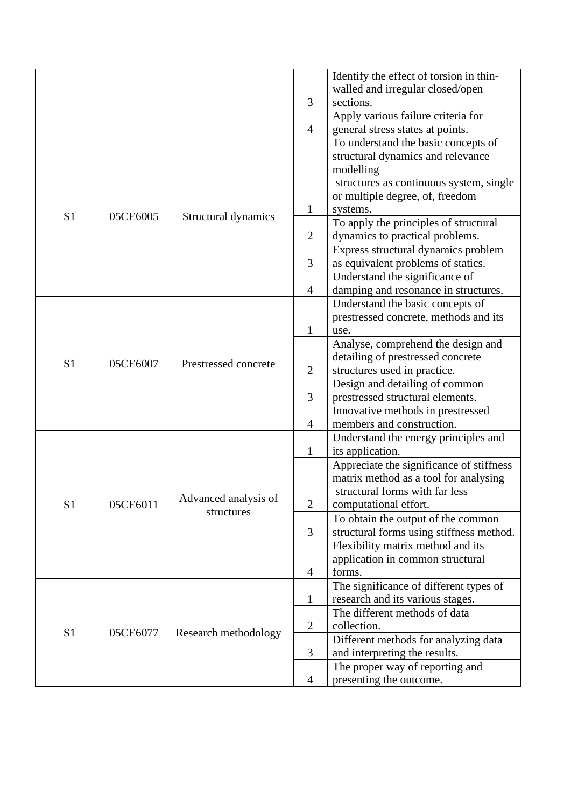|                |          |                      |                | Identify the effect of torsion in thin-       |
|----------------|----------|----------------------|----------------|-----------------------------------------------|
|                |          |                      |                | walled and irregular closed/open              |
|                |          |                      | 3              | sections.                                     |
|                |          |                      |                | Apply various failure criteria for            |
|                |          |                      | $\overline{4}$ | general stress states at points.              |
|                |          |                      |                | To understand the basic concepts of           |
|                |          |                      |                | structural dynamics and relevance             |
|                |          |                      |                | modelling                                     |
|                |          |                      |                | structures as continuous system, single       |
|                |          |                      |                | or multiple degree, of, freedom               |
| S <sub>1</sub> | 05CE6005 | Structural dynamics  | $\mathbf{1}$   | systems.                                      |
|                |          |                      |                | To apply the principles of structural         |
|                |          |                      | $\overline{2}$ | dynamics to practical problems.               |
|                |          |                      |                | Express structural dynamics problem           |
|                |          |                      | 3              | as equivalent problems of statics.            |
|                |          |                      |                | Understand the significance of                |
|                |          |                      | $\overline{4}$ | damping and resonance in structures.          |
|                |          | Prestressed concrete |                | Understand the basic concepts of              |
|                | 05CE6007 |                      | $\mathbf{1}$   | prestressed concrete, methods and its<br>use. |
|                |          |                      |                | Analyse, comprehend the design and            |
|                |          |                      |                | detailing of prestressed concrete             |
| S <sub>1</sub> |          |                      | $\overline{2}$ | structures used in practice.                  |
|                |          |                      |                | Design and detailing of common                |
|                |          |                      | 3              | prestressed structural elements.              |
|                |          |                      |                | Innovative methods in prestressed             |
|                |          |                      | $\overline{4}$ | members and construction.                     |
|                | 05CE6011 |                      |                | Understand the energy principles and          |
|                |          |                      | $\mathbf{1}$   | its application.                              |
|                |          |                      |                | Appreciate the significance of stiffness      |
|                |          |                      |                | matrix method as a tool for analysing         |
|                |          | Advanced analysis of |                | structural forms with far less                |
| S <sub>1</sub> |          | structures           | $\mathbf{2}$   | computational effort.                         |
|                |          |                      |                | To obtain the output of the common            |
|                |          |                      | 3              | structural forms using stiffness method.      |
|                |          |                      |                | Flexibility matrix method and its             |
|                |          |                      |                | application in common structural              |
|                |          |                      | $\overline{4}$ | forms.                                        |
|                |          |                      |                | The significance of different types of        |
|                |          |                      | $\mathbf{1}$   | research and its various stages.              |
|                |          |                      |                | The different methods of data                 |
| S <sub>1</sub> | 05CE6077 | Research methodology | $\mathbf{2}$   | collection.                                   |
|                |          |                      |                | Different methods for analyzing data          |
|                |          |                      | $\mathfrak{Z}$ | and interpreting the results.                 |
|                |          |                      |                | The proper way of reporting and               |
|                |          |                      | $\overline{4}$ | presenting the outcome.                       |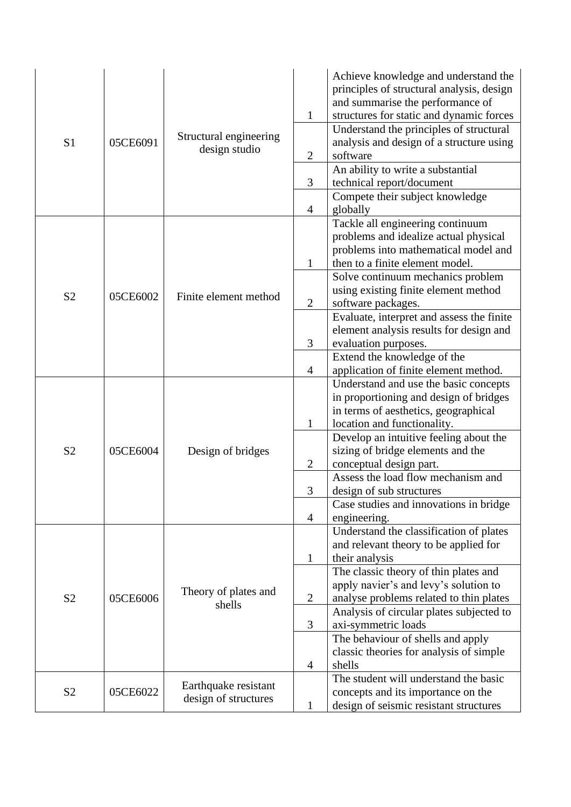| S <sub>1</sub> | 05CE6091 | Structural engineering<br>design studio      | $\mathbf{1}$<br>$\overline{2}$<br>$\mathfrak{Z}$<br>$\overline{4}$ | Achieve knowledge and understand the<br>principles of structural analysis, design<br>and summarise the performance of<br>structures for static and dynamic forces<br>Understand the principles of structural<br>analysis and design of a structure using<br>software<br>An ability to write a substantial<br>technical report/document<br>Compete their subject knowledge<br>globally                                                        |
|----------------|----------|----------------------------------------------|--------------------------------------------------------------------|----------------------------------------------------------------------------------------------------------------------------------------------------------------------------------------------------------------------------------------------------------------------------------------------------------------------------------------------------------------------------------------------------------------------------------------------|
| S <sub>2</sub> | 05CE6002 | Finite element method                        | $\mathbf{1}$<br>$\mathbf{2}$                                       | Tackle all engineering continuum<br>problems and idealize actual physical<br>problems into mathematical model and<br>then to a finite element model.<br>Solve continuum mechanics problem<br>using existing finite element method<br>software packages.<br>Evaluate, interpret and assess the finite                                                                                                                                         |
|                |          |                                              | 3<br>$\overline{4}$                                                | element analysis results for design and<br>evaluation purposes.<br>Extend the knowledge of the<br>application of finite element method.                                                                                                                                                                                                                                                                                                      |
| S <sub>2</sub> | 05CE6004 | Design of bridges                            | $\mathbf{1}$<br>$\overline{2}$<br>3                                | Understand and use the basic concepts<br>in proportioning and design of bridges<br>in terms of aesthetics, geographical<br>location and functionality.<br>Develop an intuitive feeling about the<br>sizing of bridge elements and the<br>conceptual design part.<br>Assess the load flow mechanism and<br>design of sub structures                                                                                                           |
| S <sub>2</sub> | 05CE6006 | Theory of plates and<br>shells               | $\overline{4}$<br>$\mathbf{1}$<br>$\mathbf{2}$<br>$\mathfrak{Z}$   | Case studies and innovations in bridge<br>engineering.<br>Understand the classification of plates<br>and relevant theory to be applied for<br>their analysis<br>The classic theory of thin plates and<br>apply navier's and levy's solution to<br>analyse problems related to thin plates<br>Analysis of circular plates subjected to<br>axi-symmetric loads<br>The behaviour of shells and apply<br>classic theories for analysis of simple |
| S <sub>2</sub> | 05CE6022 | Earthquake resistant<br>design of structures | $\overline{4}$<br>$\mathbf{1}$                                     | shells<br>The student will understand the basic<br>concepts and its importance on the<br>design of seismic resistant structures                                                                                                                                                                                                                                                                                                              |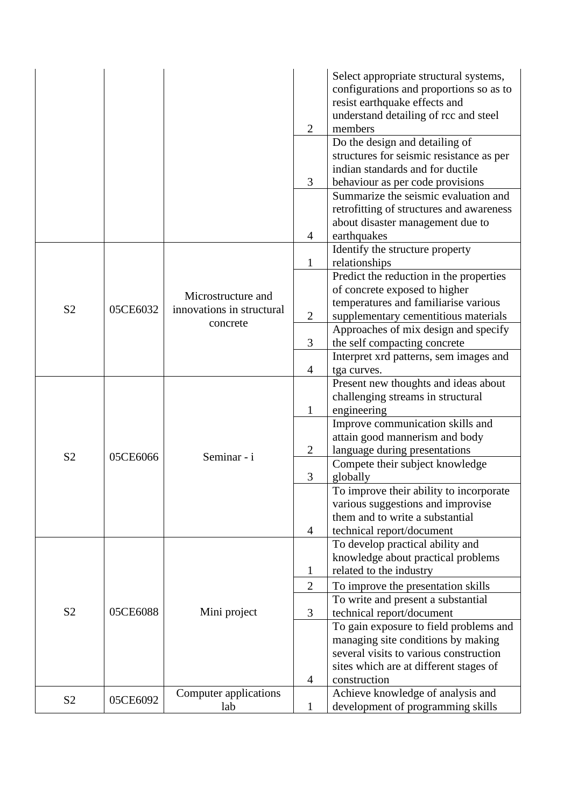|                |          |                                       |                | Select appropriate structural systems,<br>configurations and proportions so as to<br>resist earthquake effects and<br>understand detailing of rcc and steel |
|----------------|----------|---------------------------------------|----------------|-------------------------------------------------------------------------------------------------------------------------------------------------------------|
|                |          |                                       | $\overline{2}$ | members                                                                                                                                                     |
|                |          |                                       |                | Do the design and detailing of                                                                                                                              |
|                |          |                                       |                | structures for seismic resistance as per                                                                                                                    |
|                |          |                                       |                | indian standards and for ductile                                                                                                                            |
|                |          |                                       | 3              | behaviour as per code provisions                                                                                                                            |
|                |          |                                       |                | Summarize the seismic evaluation and                                                                                                                        |
|                |          |                                       |                | retrofitting of structures and awareness                                                                                                                    |
|                |          |                                       |                | about disaster management due to                                                                                                                            |
|                |          |                                       | $\overline{4}$ | earthquakes                                                                                                                                                 |
|                |          |                                       | 1              | Identify the structure property<br>relationships                                                                                                            |
|                |          |                                       |                | Predict the reduction in the properties                                                                                                                     |
|                |          |                                       |                | of concrete exposed to higher                                                                                                                               |
|                |          | Microstructure and                    |                | temperatures and familiarise various                                                                                                                        |
| S <sub>2</sub> | 05CE6032 | innovations in structural<br>concrete | $\overline{2}$ | supplementary cementitious materials                                                                                                                        |
|                |          |                                       |                | Approaches of mix design and specify                                                                                                                        |
|                |          |                                       | 3              | the self compacting concrete                                                                                                                                |
|                |          |                                       |                | Interpret xrd patterns, sem images and                                                                                                                      |
|                |          |                                       | $\overline{4}$ | tga curves.                                                                                                                                                 |
|                |          |                                       |                | Present new thoughts and ideas about                                                                                                                        |
|                |          |                                       |                | challenging streams in structural                                                                                                                           |
|                |          |                                       | $\mathbf 1$    | engineering                                                                                                                                                 |
|                |          |                                       |                | Improve communication skills and                                                                                                                            |
|                |          |                                       |                | attain good mannerism and body                                                                                                                              |
| S <sub>2</sub> | 05CE6066 |                                       | $\overline{2}$ | language during presentations                                                                                                                               |
|                |          | Seminar - i                           |                | Compete their subject knowledge                                                                                                                             |
|                |          |                                       | 3              | globally                                                                                                                                                    |
|                |          |                                       |                | To improve their ability to incorporate                                                                                                                     |
|                |          |                                       |                | various suggestions and improvise                                                                                                                           |
|                |          |                                       |                | them and to write a substantial                                                                                                                             |
|                |          |                                       | $\overline{4}$ | technical report/document                                                                                                                                   |
|                |          |                                       |                | To develop practical ability and                                                                                                                            |
|                |          |                                       |                | knowledge about practical problems                                                                                                                          |
|                |          |                                       | $\mathbf{1}$   | related to the industry                                                                                                                                     |
|                |          |                                       | $\overline{2}$ | To improve the presentation skills                                                                                                                          |
|                |          |                                       |                | To write and present a substantial                                                                                                                          |
| S <sub>2</sub> | 05CE6088 | Mini project                          | 3              | technical report/document                                                                                                                                   |
|                |          |                                       |                | To gain exposure to field problems and                                                                                                                      |
|                |          |                                       |                | managing site conditions by making                                                                                                                          |
|                |          |                                       |                | several visits to various construction                                                                                                                      |
|                |          |                                       |                | sites which are at different stages of                                                                                                                      |
|                |          |                                       | 4              | construction                                                                                                                                                |
| S <sub>2</sub> | 05CE6092 | Computer applications<br>lab          |                | Achieve knowledge of analysis and                                                                                                                           |
|                |          |                                       | $\mathbf 1$    | development of programming skills                                                                                                                           |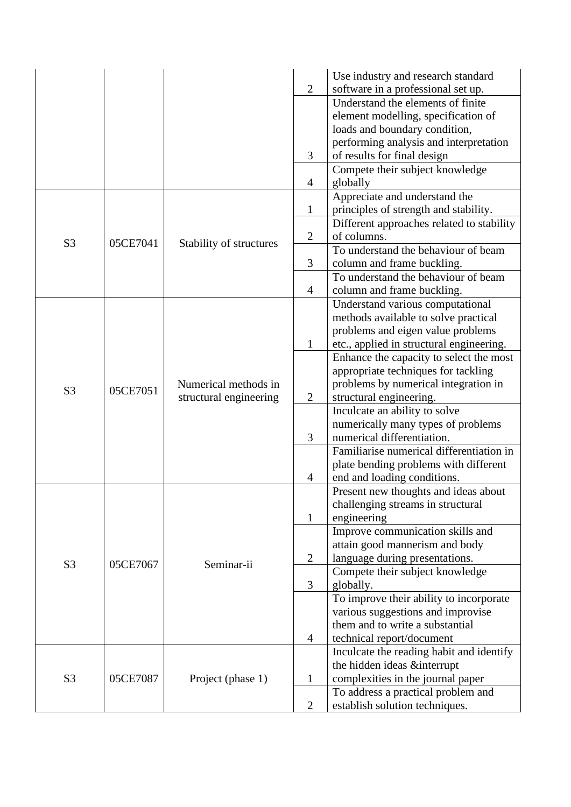|                |          |                                                |                | Use industry and research standard        |
|----------------|----------|------------------------------------------------|----------------|-------------------------------------------|
|                |          |                                                | $\overline{2}$ | software in a professional set up.        |
|                |          |                                                |                | Understand the elements of finite         |
|                |          |                                                |                | element modelling, specification of       |
|                |          |                                                |                | loads and boundary condition,             |
|                |          |                                                |                | performing analysis and interpretation    |
|                |          |                                                | 3              | of results for final design               |
|                |          |                                                |                | Compete their subject knowledge           |
|                |          |                                                | $\overline{4}$ | globally                                  |
|                |          |                                                |                | Appreciate and understand the             |
|                |          |                                                | $\mathbf{1}$   | principles of strength and stability.     |
|                |          |                                                |                | Different approaches related to stability |
|                |          |                                                | $\mathbf{2}$   | of columns.                               |
| S <sub>3</sub> | 05CE7041 | Stability of structures                        |                | To understand the behaviour of beam       |
|                |          |                                                | 3              | column and frame buckling.                |
|                |          |                                                |                | To understand the behaviour of beam       |
|                |          |                                                | $\overline{4}$ | column and frame buckling.                |
|                |          |                                                |                |                                           |
|                |          |                                                |                | Understand various computational          |
|                |          | Numerical methods in<br>structural engineering |                | methods available to solve practical      |
|                | 05CE7051 |                                                |                | problems and eigen value problems         |
|                |          |                                                | $\mathbf{1}$   | etc., applied in structural engineering.  |
|                |          |                                                |                | Enhance the capacity to select the most   |
|                |          |                                                |                | appropriate techniques for tackling       |
| S <sub>3</sub> |          |                                                |                | problems by numerical integration in      |
|                |          |                                                | $\mathbf{2}$   | structural engineering.                   |
|                |          |                                                |                | Inculcate an ability to solve             |
|                |          |                                                |                | numerically many types of problems        |
|                |          |                                                | 3              | numerical differentiation.                |
|                |          |                                                |                | Familiarise numerical differentiation in  |
|                |          |                                                |                | plate bending problems with different     |
|                |          |                                                | 4              | end and loading conditions.               |
|                |          |                                                |                | Present new thoughts and ideas about      |
|                |          |                                                |                | challenging streams in structural         |
|                |          |                                                | $\mathbf{1}$   | engineering                               |
|                |          |                                                |                | Improve communication skills and          |
|                |          |                                                |                | attain good mannerism and body            |
| S <sub>3</sub> | 05CE7067 | Seminar-ii                                     | $\overline{2}$ | language during presentations.            |
|                |          |                                                |                | Compete their subject knowledge           |
|                |          |                                                | $\mathfrak{Z}$ | globally.                                 |
|                |          |                                                |                | To improve their ability to incorporate   |
|                |          |                                                |                | various suggestions and improvise         |
|                |          |                                                |                | them and to write a substantial           |
|                |          |                                                | $\overline{4}$ | technical report/document                 |
|                |          |                                                |                | Inculcate the reading habit and identify  |
|                |          | Project (phase 1)                              |                | the hidden ideas &interrupt               |
| S <sub>3</sub> | 05CE7087 |                                                | $\mathbf{1}$   | complexities in the journal paper         |
|                |          |                                                |                | To address a practical problem and        |
|                |          |                                                | $\overline{2}$ | establish solution techniques.            |